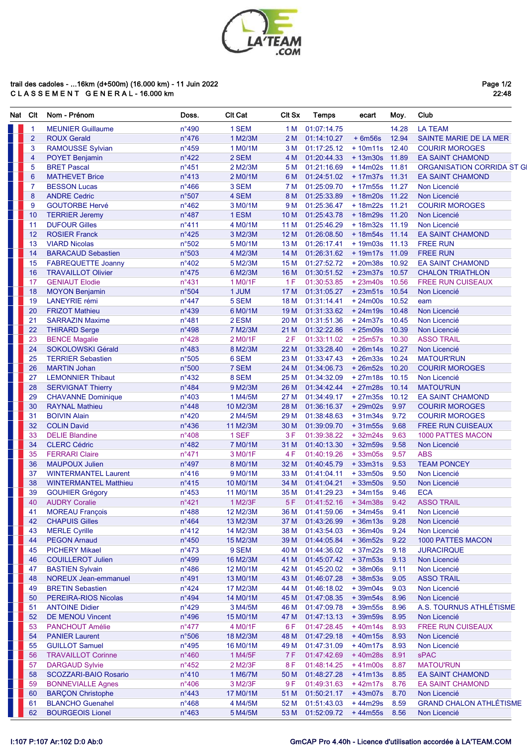

## trail des cadoles - ...16km (d+500m) (16.000 km) - 11 Juin 2022<br>C L A S S E M E N T G E N E R A L - 16.000 km

Page 1/2<br>22:48

| Nat | CIt                  | Nom - Prénom                                       | Doss.                             | <b>CIt Cat</b>        | CIt Sx          | <b>Temps</b>               | ecart                     | Moy.          | Club                                           |
|-----|----------------------|----------------------------------------------------|-----------------------------------|-----------------------|-----------------|----------------------------|---------------------------|---------------|------------------------------------------------|
|     | $\blacktriangleleft$ | <b>MEUNIER Guillaume</b>                           | $n^{\circ}490$                    | 1 SEM                 | 1 M             | 01:07:14.75                |                           | 14.28         | <b>LA TEAM</b>                                 |
|     | $\overline{2}$       | <b>ROUX Gerald</b>                                 | $n^{\circ}476$                    | 1 M2/3M               | 2 M             | 01:14:10.27                | $+6m56s$                  | 12.94         | SAINTE MARIE DE LA MER                         |
|     | 3                    | <b>RAMOUSSE Sylvian</b>                            | $n^{\circ}459$                    | 1 M0/1M               | 3 M             | 01:17:25.12                | $+10m11s$ 12.40           |               | <b>COURIR MOROGES</b>                          |
|     | 4                    | <b>POYET Benjamin</b>                              | $n^{\circ}422$                    | 2 SEM                 | 4 M             | 01:20:44.33                | +13m30s 11.89             |               | <b>EA SAINT CHAMOND</b>                        |
|     | 5                    | <b>BRET Pascal</b>                                 | $n^{\circ}451$                    | 2 M2/3M               | 5 M             | 01:21:16.69                | +14m02s 11.81             |               | ORGANISATION CORRIDA ST G                      |
|     | 6                    | <b>MATHEVET Brice</b>                              | $n^{\circ}413$                    | 2 M0/1M               | 6 M             | 01:24:51.02                | + 17m37s 11.31            |               | <b>EA SAINT CHAMOND</b>                        |
|     | 7                    | <b>BESSON Lucas</b>                                | $n^{\circ}$ 466                   | 3 SEM                 | 7 M             | 01:25:09.70                | $+17m55s$                 | 11.27         | Non Licencié                                   |
|     | 8                    | <b>ANDRE Cedric</b>                                | n°507                             | 4 SEM                 | 8 M             | 01:25:33.89                | + 18m20s 11.22            |               | Non Licencié                                   |
|     | 9                    | <b>GOUTORBE Hervé</b>                              | $n^{\circ}462$                    | 3 M0/1M               | 9 M             | 01:25:36.47                | $+18m22s$                 | 11.21         | <b>COURIR MOROGES</b>                          |
|     | 10                   | <b>TERRIER Jeremy</b>                              | $n^{\circ}487$                    | 1 ESM                 | 10 <sub>M</sub> | 01:25:43.78                | $+18m29s$                 | 11.20         | Non Licencié                                   |
|     | 11                   | <b>DUFOUR Gilles</b>                               | $n^{\circ}411$                    | 4 M0/1M               | 11 M            | 01:25:46.29                | $+18m32s$                 | 11.19         | Non Licencié                                   |
|     | 12                   | <b>ROSIER Franck</b>                               | $n^{\circ}$ 425                   | 3 M2/3M               | 12 M            | 01:26:08.50                | + 18m54s 11.14            |               | <b>EA SAINT CHAMOND</b>                        |
|     | 13                   | <b>VIARD Nicolas</b>                               | n°502                             | 5 M0/1M               | 13 M            | 01:26:17.41                | $+19m03s$ 11.13           |               | <b>FREE RUN</b>                                |
|     | 14                   | <b>BARACAUD Sebastien</b>                          | n°503                             | 4 M2/3M               | 14 M            | 01:26:31.62                | + 19m17s 11.09            |               | <b>FREE RUN</b>                                |
|     | 15                   | <b>FABREQUETTE Joanny</b>                          | $n^{\circ}402$                    | 5 M2/3M               | 15 M            | 01:27:52.72                | $+20m38s$                 | 10.92         | <b>EA SAINT CHAMOND</b>                        |
|     | 16                   | <b>TRAVAILLOT Olivier</b>                          | $n^{\circ}475$                    | 6 M2/3M               | 16 M            | 01:30:51.52                | $+23m37s$                 | 10.57         | <b>CHALON TRIATHLON</b>                        |
|     | 17                   | <b>GENIAUT Elodie</b>                              | $n^{\circ}431$                    | 1 M0/1F               | 1F              | 01:30:53.85                | $+23m40s$                 | 10.56         | <b>FREE RUN CUISEAUX</b>                       |
|     | 18                   | <b>MOYON Benjamin</b>                              | n°504                             | 1 JUM                 | 17 M            | 01:31:05.27                | +23m51s 10.54             |               | Non Licencié                                   |
|     | 19                   | <b>LANEYRIE</b> rémi                               | $n^{\circ}447$                    | 5 SEM                 | 18 M            | 01:31:14.41                | $+24m00s$                 | 10.52         | eam                                            |
|     | 20                   | <b>FRIZOT Mathieu</b>                              | $n^{\circ}$ 439                   | 6 M0/1M               | 19 <sub>M</sub> | 01:31:33.62                | $+24m19s$ 10.48           |               | Non Licencié                                   |
|     | 21                   | <b>SARRAZIN Maxime</b>                             | $n^{\circ}481$                    | 2 ESM                 | 20 M            | 01:31:51.36                | $+24m37s$                 | 10.45         | Non Licencié                                   |
|     | 22                   | <b>THIRARD Serge</b>                               | $n^{\circ}$ 498                   | 7 M2/3M               | 21 M            | 01:32:22.86                | +25m09s 10.39             |               | Non Licencié                                   |
|     | 23                   | <b>BENCE Magalie</b>                               | $n^{\circ}428$                    | 2 M0/1F               | 2F              | 01:33:11.02                | +25m57s 10.30             |               | <b>ASSO TRAIL</b>                              |
|     | 24                   | SOKOLOWSKI Gérald                                  | $n^{\circ}483$                    | 8 M2/3M               | 22 M            | 01:33:28.40                | +26m14s 10.27             |               | Non Licencié                                   |
|     | 25                   | <b>TERRIER Sebastien</b>                           | n°505                             | 6 SEM                 | 23 M            | 01:33:47.43                | +26m33s 10.24             |               | <b>MATOUR'RUN</b>                              |
|     | 26                   | <b>MARTIN Johan</b>                                | n°500                             | 7 SEM                 | 24 M            | 01:34:06.73                | $+26m52s$                 | 10.20         | <b>COURIR MOROGES</b>                          |
|     | 27                   | <b>LEMONNIER Thibaut</b>                           | $n^{\circ}432$                    | 8 SEM                 | 25 M            | 01:34:32.09                | $+27m18s$                 | 10.15         | Non Licencié                                   |
|     | 28                   | <b>SERVIGNAT Thierry</b>                           | $n^{\circ}484$                    | 9 M2/3M               | 26 M            | 01:34:42.44                | $+27m28s$                 | 10.14         | <b>MATOU'RUN</b>                               |
|     | 29<br>30             | <b>CHAVANNE</b> Dominique                          | $n^{\circ}403$<br>$n^{\circ}$ 448 | 1 M4/5M               | 27 M            | 01:34:49.17                | $+27m35s$<br>$+29m02s$    | 10.12<br>9.97 | <b>EA SAINT CHAMOND</b>                        |
|     | 31                   | <b>RAYNAL Mathieu</b><br><b>BOIVIN Alain</b>       | $n^{\circ}420$                    | 10 M2/3M<br>2 M4/5M   | 28 M<br>29 M    | 01:36:16.37<br>01:38:48.63 | $+31m34s$                 | 9.72          | <b>COURIR MOROGES</b><br><b>COURIR MOROGES</b> |
|     | 32                   | <b>COLIN David</b>                                 | $n^{\circ}$ 436                   | 11 M2/3M              | 30 M            | 01:39:09.70                | $+31m55s$                 | 9.68          | <b>FREE RUN CUISEAUX</b>                       |
|     | 33                   | <b>DELIE Blandine</b>                              | n°408                             | 1 SEF                 | 3F              | 01:39:38.22                | $+32m24s$                 | 9.63          | <b>1000 PATTES MACON</b>                       |
|     | 34                   | <b>CLERC Cédric</b>                                | n°482                             | 7 M0/1M               | 31 M            | 01:40:13.30                | $+32m59s$                 | 9.58          | Non Licencié                                   |
|     | 35                   | <b>FERRARI Claire</b>                              | $n^{\circ}471$                    | 3 M0/1F               | 4 F             | 01:40:19.26                | $+33m05s$                 | 9.57          | <b>ABS</b>                                     |
|     | 36                   | <b>MAUPOUX Julien</b>                              | $n^{\circ}497$                    | 8 MO/1M               | 32 M            | 01:40:45.79                | $+33m31s$                 | 9.53          | <b>TEAM PONCEY</b>                             |
|     | 37                   | <b>WINTERMANTEL Laurent</b>                        | $n^{\circ}416$                    | 9 M0/1M               | 33 M            | 01:41:04.11                | $+33m50s$                 | 9.50          | Non Licencié                                   |
|     | 38                   | <b>WINTERMANTEL Matthieu</b>                       | $n^{\circ}415$                    | 10 M0/1M              | 34 M            | 01:41:04.21                | $+33m50s$                 | 9.50          | Non Licencié                                   |
|     | 39                   | <b>GOUHIER Grégory</b>                             | $n^{\circ}453$                    | 11 M0/1M              | 35 M            | 01:41:29.23                | $+34m15s$                 | 9.46          | <b>ECA</b>                                     |
|     | 40                   | <b>AUDRY Coralie</b>                               | $n^{\circ}421$                    | 1 M2/3F               | 5F              | 01:41:52.16                | $+34m38s$                 | 9.42          | <b>ASSO TRAIL</b>                              |
|     | 41                   | <b>MOREAU François</b>                             | $n^{\circ}488$                    | 12 M2/3M              | 36 M            | 01:41:59.06                | $+34m45s$                 | 9.41          | Non Licencié                                   |
|     | 42                   | <b>CHAPUIS Gilles</b>                              | $n^{\circ}464$                    | 13 M2/3M              | 37 M            | 01:43:26.99                | $+36m13s$                 | 9.28          | Non Licencié                                   |
|     | 43                   | <b>MERLE Cyrille</b>                               | $n^{\circ}412$                    | 14 M2/3M              | 38 M            | 01:43:54.03                | $+36m40s$                 | 9.24          | Non Licencié                                   |
|     | 44                   | <b>PEGON Arnaud</b>                                | $n^{\circ}450$                    | 15 M2/3M              | 39 M            | 01:44:05.84                | $+36m52s$                 | 9.22          | <b>1000 PATTES MACON</b>                       |
|     | 45                   | <b>PICHERY Mikael</b>                              | $n^{\circ}473$                    | 9 SEM                 | 40 M            | 01:44:36.02                | $+37m22s$                 | 9.18          | <b>JURACIRQUE</b>                              |
|     | 46                   | <b>COUILLEROT Julien</b>                           | $n^{\circ}499$                    | 16 M2/3M              | 41 M            | 01:45:07.42                | $+37m53s$                 | 9.13          | Non Licencié                                   |
|     | 47                   | <b>BASTIEN Sylvain</b>                             | $n^{\circ}486$                    | 12 M0/1M              | 42 M            | 01:45:20.02                | $+38m06s$                 | 9.11          | Non Licencié                                   |
|     | 48                   | <b>NOREUX Jean-emmanuel</b>                        | $n^{\circ}491$                    | 13 M0/1M              | 43 M            | 01:46:07.28                | $+38m53s$                 | 9.05          | <b>ASSO TRAIL</b>                              |
|     | 49                   | <b>BRETIN Sebastien</b>                            | $n^{\circ}424$                    | 17 M2/3M              | 44 M            | 01:46:18.02                | $+39m04s$                 | 9.03          | Non Licencié                                   |
|     | 50                   | PEREIRA-RIOS Nicolas                               | $n^{\circ}494$                    | 14 M0/1M              | 45 M            | 01:47:08.35                | $+39m54s$                 | 8.96          | Non Licencié                                   |
|     | 51                   | <b>ANTOINE Didier</b>                              | $n^{\circ}429$                    | 3 M4/5M               | 46 M            | 01:47:09.78                | $+39m55s$                 | 8.96          | A.S. TOURNUS ATHLÉTISME                        |
|     | 52                   | <b>DE MENOU Vincent</b>                            | $n^{\circ}496$                    | 15 M0/1M              | 47 M            | 01:47:13.13                | $+39m59s$                 | 8.95          | Non Licencié                                   |
|     | 53                   | <b>PANCHOUT Amélie</b>                             | $n^{\circ}477$                    | 4 M0/1F               | 6 F             | 01:47:28.45                | $+40m14s$                 | 8.93          | <b>FREE RUN CUISEAUX</b>                       |
|     | 54                   | <b>PANIER Laurent</b>                              | n°506                             | 18 M2/3M              | 48 M            | 01:47:29.18                | $+40m15s$                 | 8.93          | Non Licencié                                   |
|     | 55                   | <b>GUILLOT Samuel</b>                              | $n^{\circ}$ 495                   | 16 M <sub>0</sub> /1M | 49 M            | 01:47:31.09                | $+40m17s$                 | 8.93          | Non Licencié                                   |
|     | 56                   | <b>TRAVAILLOT Corinne</b>                          | $n^{\circ}460$                    | 1 M4/5F               | 7 F             | 01:47:42.69                | +40m28s                   | 8.91          | <b>sPAC</b>                                    |
|     | 57                   | <b>DARGAUD Sylvie</b>                              | $n^{\circ}452$                    | 2 M2/3F               | 8 F             | 01:48:14.25                | $+41m00s$                 | 8.87          | <b>MATOU'RUN</b>                               |
|     | 58                   | SCOZZARI-BAIO Rosario                              | $n^{\circ}410$                    | 1 M6/7M               | 50 M            | 01:48:27.28                | $+41m13s$                 | 8.85          | <b>EA SAINT CHAMOND</b>                        |
|     | 59                   | <b>BONNEVIALLE Agnes</b>                           | $n^{\circ}406$                    | 3 M2/3F               | 9 F             | 01:49:31.63                | $+42m17s$                 | 8.76          | <b>EA SAINT CHAMOND</b>                        |
|     | 60                   | <b>BARÇON Christophe</b>                           | $n^{\circ}$ 443                   | 17 M0/1M              | 51 M            | 01:50:21.17                | $+43m07s$                 | 8.70          | Non Licencié                                   |
|     | 61<br>62             | <b>BLANCHO Guenahel</b><br><b>BOURGEOIS Lionel</b> | $n^{\circ}468$<br>$n^{\circ}463$  | 4 M4/5M<br>5 M4/5M    | 52 M<br>53 M    | 01:51:43.03<br>01:52:09.72 | +44m29s<br>$+44m55s$ 8.56 | 8.59          | <b>GRAND CHALON ATHLÉTISME</b><br>Non Licencié |
|     |                      |                                                    |                                   |                       |                 |                            |                           |               |                                                |

## I:107 P:107 Ar:102 D:0 Ab:0

## GmCAP Pro 4.40h - Licence d'utilisation accordée à LA'TEAM.COM